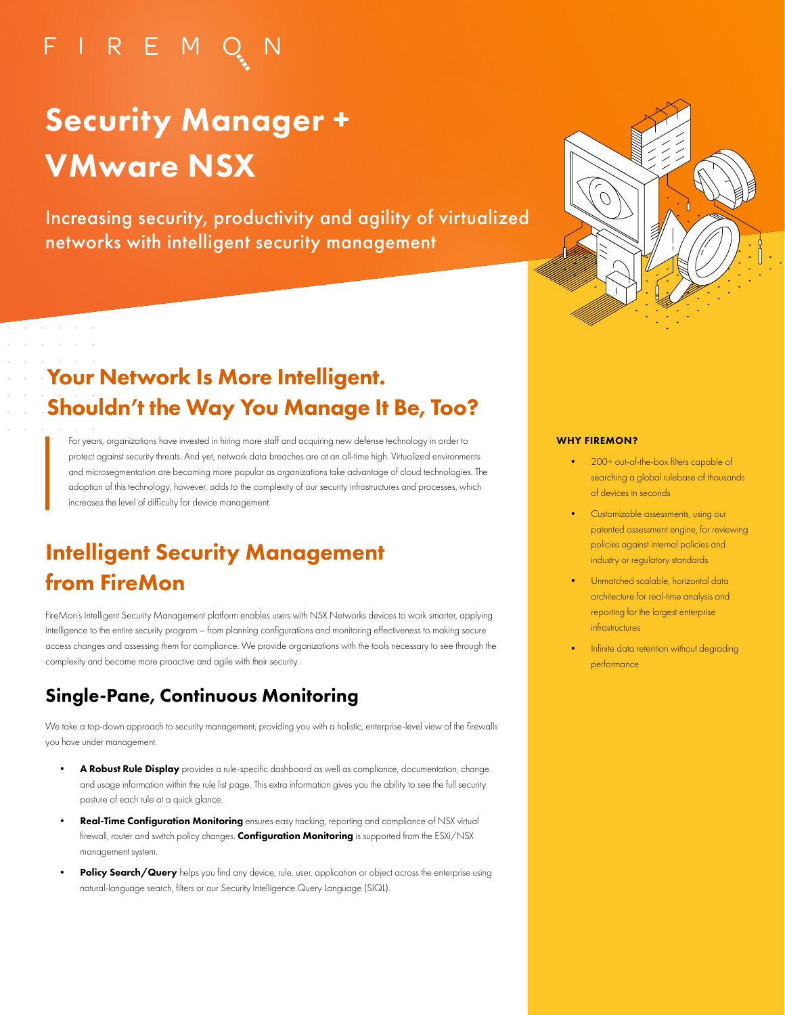# FIREMO

# Security Manager + VMware NSX

Increasing security, productivity and agility of virtualized networks with intelligent security management



# Your Network Is More Intelligent. Shouldn't the Way You Manage It Be, Too?

For years, organizations have invested in hiring more staff and acquiring new defense technology in order to protect against security threats. And yet, network data breaches are at an all-time high. Virtualized environments and microsegmentation are becoming more popular as organizations take advantage of cloud technologies. The adoption of this technology, however, adds to the complexity of our security infrastructures and processes, which increases the level of difficulty for device management.

# Intelligent Security Management from FireMon

FireMon's Intelligent Security Management platform enables users with NSX Networks devices to work smarter, applying intelligence to the entire security program – from planning configurations and monitoring effectiveness to making secure access changes and assessing them for compliance. We provide organizations with the tools necessary to see through the complexity and become more proactive and agile with their security.

## Single-Pane, Continuous Monitoring

We take a top-down approach to security management, providing you with a holistic, enterprise-level view of the firewalls you have under management.

- A Robust Rule Display provides a rule-specific dashboard as well as compliance, documentation, change and usage information within the rule list page. This extra information gives you the ability to see the full security posture of each rule at a quick glance.
- Real-Time Configuration Monitoring ensures easy tracking, reporting and compliance of NSX virtual firewall, router and switch policy changes. Configuration Monitoring is supported from the ESXi/NSX management system.
- Policy Search/Query helps you find any device, rule, user, application or object across the enterprise using natural-language search, filters or our Security Intelligence Query Language (SIQL).

#### WHY FIREMON?

- 200+ out-of-the-box filters capable of searching a global rulebase of thousands of devices in seconds
- Customizable assessments, using our patented assessment engine, for reviewing policies against internal policies and industry or regulatory standards
- Unmatched scalable, horizontal data architecture for real-time analysis and reporting for the largest enterprise infrastructures
- Infinite data retention without degrading performance